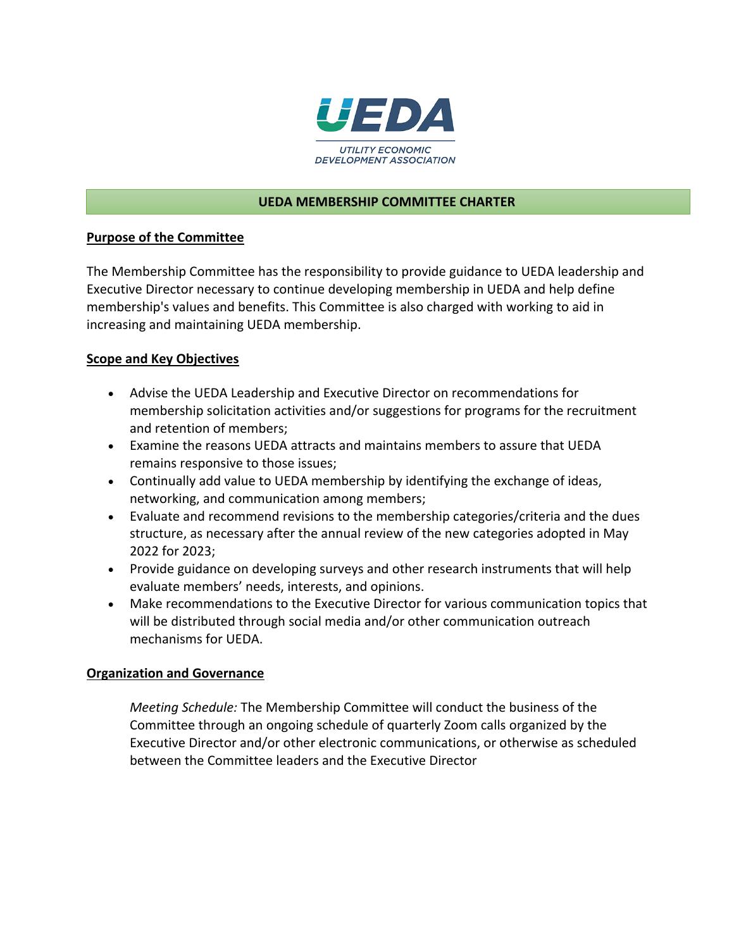

### **UEDA MEMBERSHIP COMMITTEE CHARTER**

### **Purpose of the Committee**

The Membership Committee has the responsibility to provide guidance to UEDA leadership and Executive Director necessary to continue developing membership in UEDA and help define membership's values and benefits. This Committee is also charged with working to aid in increasing and maintaining UEDA membership.

### **Scope and Key Objectives**

- Advise the UEDA Leadership and Executive Director on recommendations for membership solicitation activities and/or suggestions for programs for the recruitment and retention of members;
- Examine the reasons UEDA attracts and maintains members to assure that UEDA remains responsive to those issues;
- Continually add value to UEDA membership by identifying the exchange of ideas, networking, and communication among members;
- Evaluate and recommend revisions to the membership categories/criteria and the dues structure, as necessary after the annual review of the new categories adopted in May 2022 for 2023;
- Provide guidance on developing surveys and other research instruments that will help evaluate members' needs, interests, and opinions.
- Make recommendations to the Executive Director for various communication topics that will be distributed through social media and/or other communication outreach mechanisms for UEDA.

### **Organization and Governance**

*Meeting Schedule:* The Membership Committee will conduct the business of the Committee through an ongoing schedule of quarterly Zoom calls organized by the Executive Director and/or other electronic communications, or otherwise as scheduled between the Committee leaders and the Executive Director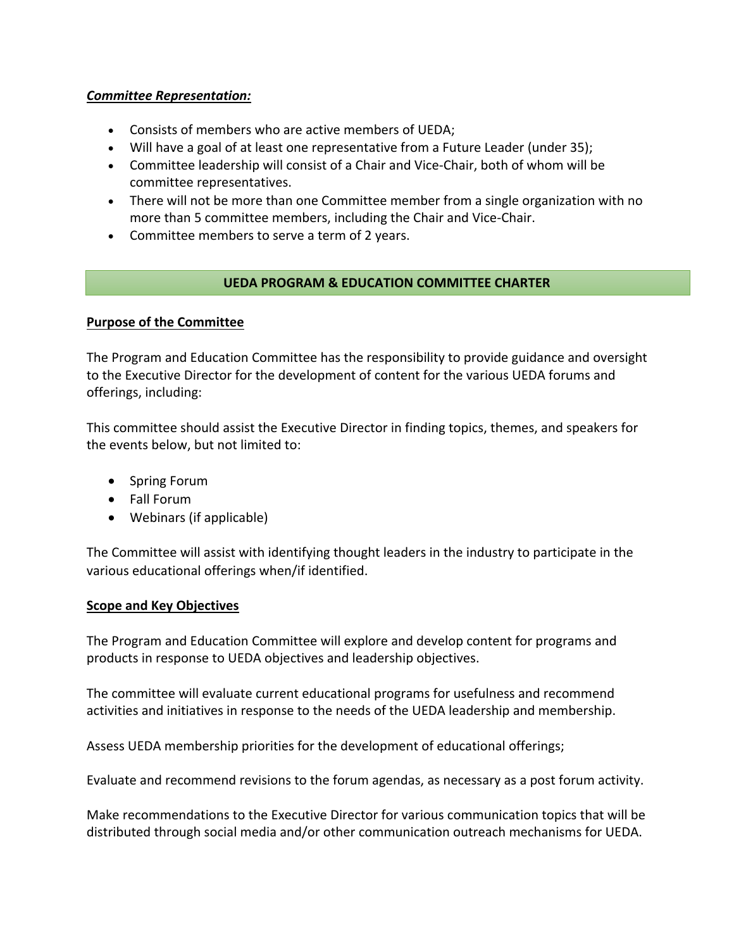## *Committee Representation:*

- Consists of members who are active members of UEDA;
- Will have a goal of at least one representative from a Future Leader (under 35);
- Committee leadership will consist of a Chair and Vice-Chair, both of whom will be committee representatives.
- There will not be more than one Committee member from a single organization with no more than 5 committee members, including the Chair and Vice-Chair.
- Committee members to serve a term of 2 years.

## **UEDA PROGRAM & EDUCATION COMMITTEE CHARTER**

## **Purpose of the Committee**

The Program and Education Committee has the responsibility to provide guidance and oversight to the Executive Director for the development of content for the various UEDA forums and offerings, including:

This committee should assist the Executive Director in finding topics, themes, and speakers for the events below, but not limited to:

- Spring Forum
- Fall Forum
- Webinars (if applicable)

The Committee will assist with identifying thought leaders in the industry to participate in the various educational offerings when/if identified.

### **Scope and Key Objectives**

The Program and Education Committee will explore and develop content for programs and products in response to UEDA objectives and leadership objectives.

The committee will evaluate current educational programs for usefulness and recommend activities and initiatives in response to the needs of the UEDA leadership and membership.

Assess UEDA membership priorities for the development of educational offerings;

Evaluate and recommend revisions to the forum agendas, as necessary as a post forum activity.

Make recommendations to the Executive Director for various communication topics that will be distributed through social media and/or other communication outreach mechanisms for UEDA.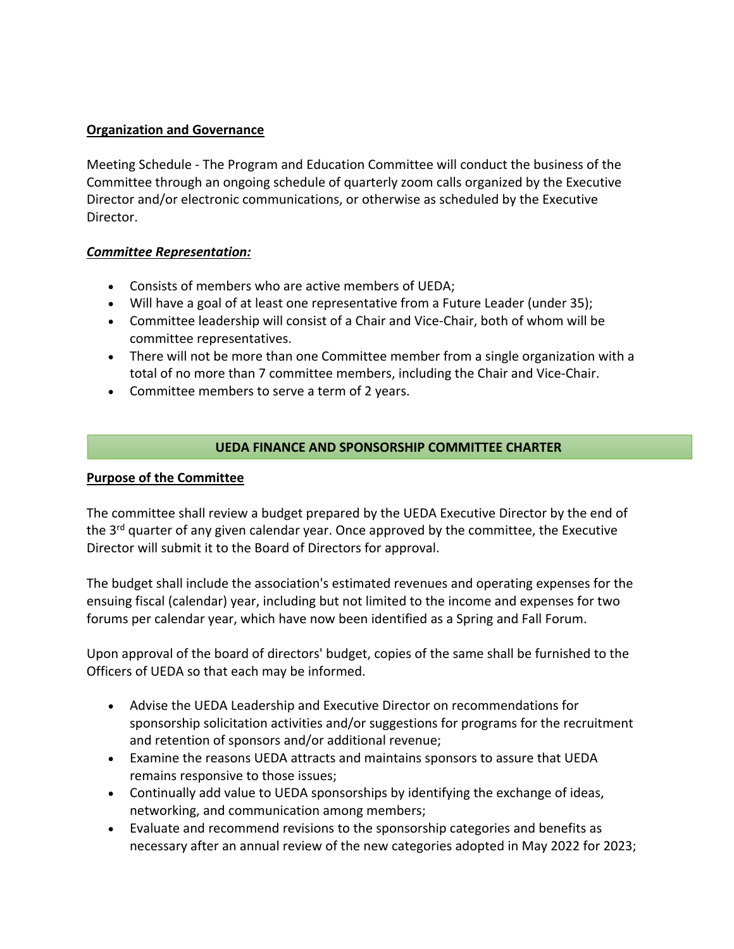## **Organization and Governance**

Meeting Schedule - The Program and Education Committee will conduct the business of the Committee through an ongoing schedule of quarterly zoom calls organized by the Executive Director and/or electronic communications, or otherwise as scheduled by the Executive Director.

## *Committee Representation:*

- Consists of members who are active members of UEDA;
- Will have a goal of at least one representative from a Future Leader (under 35);
- Committee leadership will consist of a Chair and Vice-Chair, both of whom will be committee representatives.
- There will not be more than one Committee member from a single organization with a total of no more than 7 committee members, including the Chair and Vice-Chair.
- Committee members to serve a term of 2 years.

# **UEDA FINANCE AND SPONSORSHIP COMMITTEE CHARTER**

# **Purpose of the Committee**

The committee shall review a budget prepared by the UEDA Executive Director by the end of the  $3<sup>rd</sup>$  quarter of any given calendar year. Once approved by the committee, the Executive Director will submit it to the Board of Directors for approval.

The budget shall include the association's estimated revenues and operating expenses for the ensuing fiscal (calendar) year, including but not limited to the income and expenses for two forums per calendar year, which have now been identified as a Spring and Fall Forum.

Upon approval of the board of directors' budget, copies of the same shall be furnished to the Officers of UEDA so that each may be informed.

- Advise the UEDA Leadership and Executive Director on recommendations for sponsorship solicitation activities and/or suggestions for programs for the recruitment and retention of sponsors and/or additional revenue;
- Examine the reasons UEDA attracts and maintains sponsors to assure that UEDA remains responsive to those issues;
- Continually add value to UEDA sponsorships by identifying the exchange of ideas, networking, and communication among members;
- Evaluate and recommend revisions to the sponsorship categories and benefits as necessary after an annual review of the new categories adopted in May 2022 for 2023;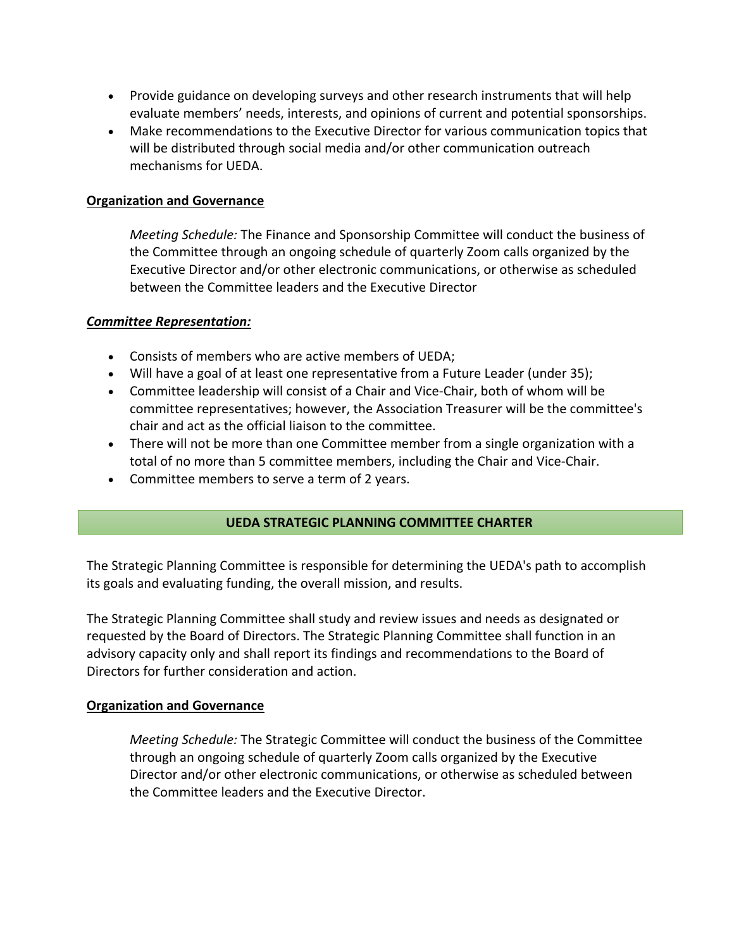- Provide guidance on developing surveys and other research instruments that will help evaluate members' needs, interests, and opinions of current and potential sponsorships.
- Make recommendations to the Executive Director for various communication topics that will be distributed through social media and/or other communication outreach mechanisms for UEDA.

### **Organization and Governance**

*Meeting Schedule:* The Finance and Sponsorship Committee will conduct the business of the Committee through an ongoing schedule of quarterly Zoom calls organized by the Executive Director and/or other electronic communications, or otherwise as scheduled between the Committee leaders and the Executive Director

#### *Committee Representation:*

- Consists of members who are active members of UEDA;
- Will have a goal of at least one representative from a Future Leader (under 35);
- Committee leadership will consist of a Chair and Vice-Chair, both of whom will be committee representatives; however, the Association Treasurer will be the committee's chair and act as the official liaison to the committee.
- There will not be more than one Committee member from a single organization with a total of no more than 5 committee members, including the Chair and Vice-Chair.
- Committee members to serve a term of 2 years.

### **UEDA STRATEGIC PLANNING COMMITTEE CHARTER**

The Strategic Planning Committee is responsible for determining the UEDA's path to accomplish its goals and evaluating funding, the overall mission, and results.

The Strategic Planning Committee shall study and review issues and needs as designated or requested by the Board of Directors. The Strategic Planning Committee shall function in an advisory capacity only and shall report its findings and recommendations to the Board of Directors for further consideration and action.

#### **Organization and Governance**

*Meeting Schedule:* The Strategic Committee will conduct the business of the Committee through an ongoing schedule of quarterly Zoom calls organized by the Executive Director and/or other electronic communications, or otherwise as scheduled between the Committee leaders and the Executive Director.